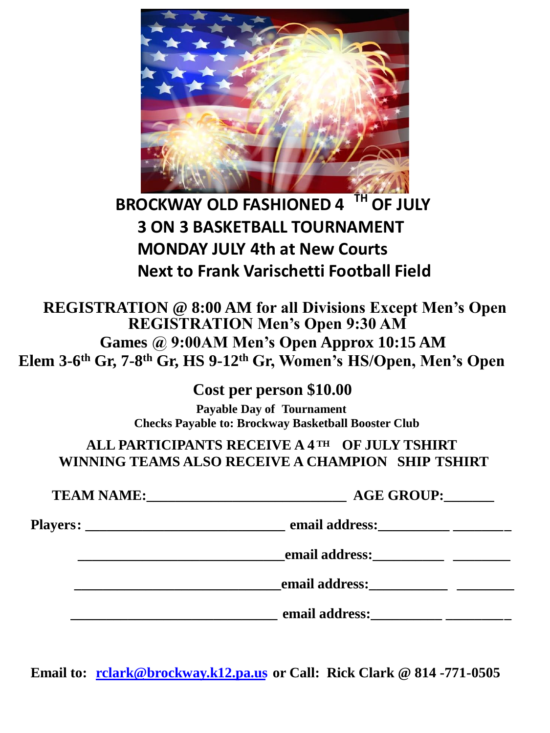

# **BROCKWAY OLD FASHIONED 4 TH OF JULY 3 ON 3 BASKETBALL TOURNAMENT MONDAY JULY 4th at New Courts Next to Frank Varischetti Football Field**

**REGISTRATION @ 8:00 AM for all Divisions Except Men's Open Games @ 9:00AM Men's Open Approx 10:15 AM Elem 3-6 th Gr, 7-8 th Gr, HS 9-12th Gr, Women's HS/Open, Men's Open REGISTRATION Men's Open 9:30 AM**

> **Cost per person \$10.00 Payable Day of Tournament Checks Payable to: Brockway Basketball Booster Club**

**ALL PARTICIPANTS RECEIVE A 4 TH OF JULY TSHIRT WINNING TEAMS ALSO RECEIVE A CHAMPION SHIP TSHIRT**

**TEAM NAME:**  $\qquad \qquad \text{AGE} \text{ GROUP:}$ **Players: \_\_\_\_\_\_\_\_\_\_\_\_\_\_\_\_\_\_\_\_\_\_\_\_\_\_\_\_ email address:\_\_\_\_\_\_\_\_\_\_ \_\_\_\_\_\_\_\_ email address: \_\_\_\_\_\_\_\_\_\_\_\_\_\_\_\_\_\_\_\_\_\_\_\_\_\_\_\_\_email address:\_\_\_\_\_\_\_\_\_\_\_ \_\_\_\_\_\_\_\_ \_\_\_\_\_\_\_\_\_\_\_\_\_\_\_\_\_\_\_\_\_\_\_\_\_\_\_\_\_ email address:\_\_\_\_\_\_\_\_\_\_ \_\_\_\_\_\_\_\_\_**

**Email to: rclark@brockway.k12.pa.us or Call: Rick Clark @ 814 -771-0505**